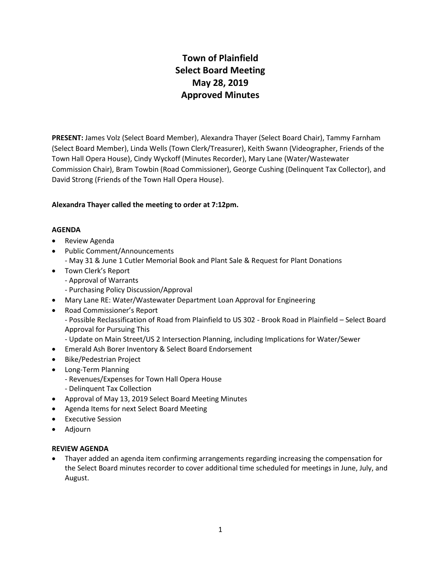# **Town of Plainfield Select Board Meeting May 28, 2019 Approved Minutes**

**PRESENT:** James Volz (Select Board Member), Alexandra Thayer (Select Board Chair), Tammy Farnham (Select Board Member), Linda Wells (Town Clerk/Treasurer), Keith Swann (Videographer, Friends of the Town Hall Opera House), Cindy Wyckoff (Minutes Recorder), Mary Lane (Water/Wastewater Commission Chair), Bram Towbin (Road Commissioner), George Cushing (Delinquent Tax Collector), and David Strong (Friends of the Town Hall Opera House).

## **Alexandra Thayer called the meeting to order at 7:12pm.**

#### **AGENDA**

- Review Agenda
- Public Comment/Announcements
	- May 31 & June 1 Cutler Memorial Book and Plant Sale & Request for Plant Donations
- Town Clerk's Report
	- Approval of Warrants
	- Purchasing Policy Discussion/Approval
- Mary Lane RE: Water/Wastewater Department Loan Approval for Engineering
- Road Commissioner's Report
	- Possible Reclassification of Road from Plainfield to US 302 Brook Road in Plainfield Select Board Approval for Pursuing This
	- Update on Main Street/US 2 Intersection Planning, including Implications for Water/Sewer
- Emerald Ash Borer Inventory & Select Board Endorsement
- Bike/Pedestrian Project
- Long-Term Planning
	- Revenues/Expenses for Town Hall Opera House
	- Delinquent Tax Collection
- Approval of May 13, 2019 Select Board Meeting Minutes
- Agenda Items for next Select Board Meeting
- **•** Executive Session
- Adjourn

#### **REVIEW AGENDA**

 Thayer added an agenda item confirming arrangements regarding increasing the compensation for the Select Board minutes recorder to cover additional time scheduled for meetings in June, July, and August.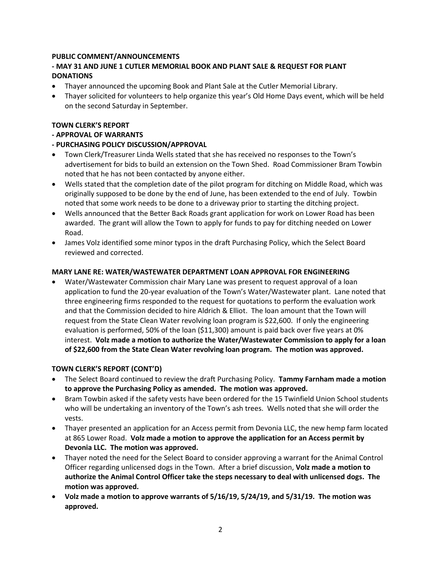## **PUBLIC COMMENT/ANNOUNCEMENTS**

# **- MAY 31 AND JUNE 1 CUTLER MEMORIAL BOOK AND PLANT SALE & REQUEST FOR PLANT DONATIONS**

- Thayer announced the upcoming Book and Plant Sale at the Cutler Memorial Library.
- Thayer solicited for volunteers to help organize this year's Old Home Days event, which will be held on the second Saturday in September.

#### **TOWN CLERK'S REPORT**

# **- APPROVAL OF WARRANTS**

# **- PURCHASING POLICY DISCUSSION/APPROVAL**

- Town Clerk/Treasurer Linda Wells stated that she has received no responses to the Town's advertisement for bids to build an extension on the Town Shed. Road Commissioner Bram Towbin noted that he has not been contacted by anyone either.
- Wells stated that the completion date of the pilot program for ditching on Middle Road, which was originally supposed to be done by the end of June, has been extended to the end of July. Towbin noted that some work needs to be done to a driveway prior to starting the ditching project.
- Wells announced that the Better Back Roads grant application for work on Lower Road has been awarded. The grant will allow the Town to apply for funds to pay for ditching needed on Lower Road.
- James Volz identified some minor typos in the draft Purchasing Policy, which the Select Board reviewed and corrected.

#### **MARY LANE RE: WATER/WASTEWATER DEPARTMENT LOAN APPROVAL FOR ENGINEERING**

 Water/Wastewater Commission chair Mary Lane was present to request approval of a loan application to fund the 20-year evaluation of the Town's Water/Wastewater plant. Lane noted that three engineering firms responded to the request for quotations to perform the evaluation work and that the Commission decided to hire Aldrich & Elliot. The loan amount that the Town will request from the State Clean Water revolving loan program is \$22,600. If only the engineering evaluation is performed, 50% of the loan (\$11,300) amount is paid back over five years at 0% interest. **Volz made a motion to authorize the Water/Wastewater Commission to apply for a loan of \$22,600 from the State Clean Water revolving loan program. The motion was approved.** 

#### **TOWN CLERK'S REPORT (CONT'D)**

- The Select Board continued to review the draft Purchasing Policy. **Tammy Farnham made a motion to approve the Purchasing Policy as amended. The motion was approved.**
- Bram Towbin asked if the safety vests have been ordered for the 15 Twinfield Union School students who will be undertaking an inventory of the Town's ash trees. Wells noted that she will order the vests.
- Thayer presented an application for an Access permit from Devonia LLC, the new hemp farm located at 865 Lower Road. **Volz made a motion to approve the application for an Access permit by Devonia LLC. The motion was approved.**
- Thayer noted the need for the Select Board to consider approving a warrant for the Animal Control Officer regarding unlicensed dogs in the Town. After a brief discussion, **Volz made a motion to authorize the Animal Control Officer take the steps necessary to deal with unlicensed dogs. The motion was approved.**
- **Volz made a motion to approve warrants of 5/16/19, 5/24/19, and 5/31/19. The motion was approved.**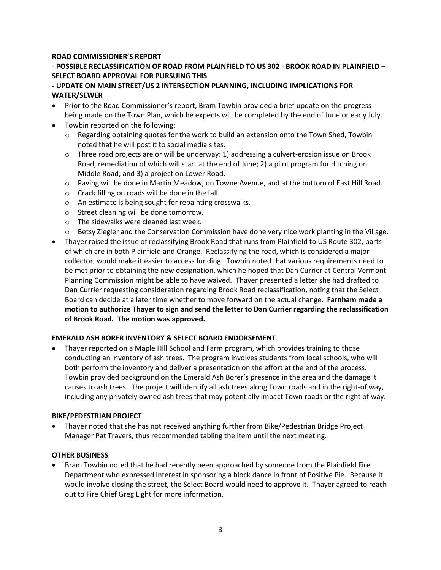## **ROAD COMMISSIONER'S REPORT**

# **- POSSIBLE RECLASSIFICATION OF ROAD FROM PLAINFIELD TO US 302 - BROOK ROAD IN PLAINFIELD – SELECT BOARD APPROVAL FOR PURSUING THIS**

# **- UPDATE ON MAIN STREET/US 2 INTERSECTION PLANNING, INCLUDING IMPLICATIONS FOR WATER/SEWER**

- Prior to the Road Commissioner's report, Bram Towbin provided a brief update on the progress being made on the Town Plan, which he expects will be completed by the end of June or early July.
- Towbin reported on the following:
	- $\circ$  Regarding obtaining quotes for the work to build an extension onto the Town Shed, Towbin noted that he will post it to social media sites.
	- $\circ$  Three road projects are or will be underway: 1) addressing a culvert-erosion issue on Brook Road, remediation of which will start at the end of June; 2) a pilot program for ditching on Middle Road; and 3) a project on Lower Road.
	- $\circ$  Paving will be done in Martin Meadow, on Towne Avenue, and at the bottom of East Hill Road.
	- o Crack filling on roads will be done in the fall.
	- o An estimate is being sought for repainting crosswalks.
	- o Street cleaning will be done tomorrow.
	- o The sidewalks were cleaned last week.
	- $\circ$  Betsy Ziegler and the Conservation Commission have done very nice work planting in the Village.
- Thayer raised the issue of reclassifying Brook Road that runs from Plainfield to US Route 302, parts of which are in both Plainfield and Orange. Reclassifying the road, which is considered a major collector, would make it easier to access funding. Towbin noted that various requirements need to be met prior to obtaining the new designation, which he hoped that Dan Currier at Central Vermont Planning Commission might be able to have waived. Thayer presented a letter she had drafted to Dan Currier requesting consideration regarding Brook Road reclassification, noting that the Select Board can decide at a later time whether to move forward on the actual change. **Farnham made a motion to authorize Thayer to sign and send the letter to Dan Currier regarding the reclassification of Brook Road. The motion was approved.**

#### **EMERALD ASH BORER INVENTORY & SELECT BOARD ENDORSEMENT**

 Thayer reported on a Maple Hill School and Farm program, which provides training to those conducting an inventory of ash trees. The program involves students from local schools, who will both perform the inventory and deliver a presentation on the effort at the end of the process. Towbin provided background on the Emerald Ash Borer's presence in the area and the damage it causes to ash trees. The project will identify all ash trees along Town roads and in the right-of way, including any privately owned ash trees that may potentially impact Town roads or the right of way.

#### **BIKE/PEDESTRIAN PROJECT**

 Thayer noted that she has not received anything further from Bike/Pedestrian Bridge Project Manager Pat Travers, thus recommended tabling the item until the next meeting.

#### **OTHER BUSINESS**

 Bram Towbin noted that he had recently been approached by someone from the Plainfield Fire Department who expressed interest in sponsoring a block dance in front of Positive Pie. Because it would involve closing the street, the Select Board would need to approve it. Thayer agreed to reach out to Fire Chief Greg Light for more information.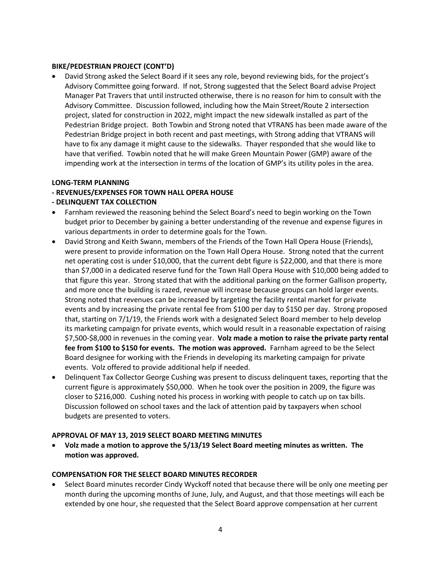#### **BIKE/PEDESTRIAN PROJECT (CONT'D)**

 David Strong asked the Select Board if it sees any role, beyond reviewing bids, for the project's Advisory Committee going forward. If not, Strong suggested that the Select Board advise Project Manager Pat Travers that until instructed otherwise, there is no reason for him to consult with the Advisory Committee. Discussion followed, including how the Main Street/Route 2 intersection project, slated for construction in 2022, might impact the new sidewalk installed as part of the Pedestrian Bridge project. Both Towbin and Strong noted that VTRANS has been made aware of the Pedestrian Bridge project in both recent and past meetings, with Strong adding that VTRANS will have to fix any damage it might cause to the sidewalks. Thayer responded that she would like to have that verified. Towbin noted that he will make Green Mountain Power (GMP) aware of the impending work at the intersection in terms of the location of GMP's its utility poles in the area.

#### **LONG-TERM PLANNING**

#### **- REVENUES/EXPENSES FOR TOWN HALL OPERA HOUSE**

## **- DELINQUENT TAX COLLECTION**

- Farnham reviewed the reasoning behind the Select Board's need to begin working on the Town budget prior to December by gaining a better understanding of the revenue and expense figures in various departments in order to determine goals for the Town.
- David Strong and Keith Swann, members of the Friends of the Town Hall Opera House (Friends), were present to provide information on the Town Hall Opera House. Strong noted that the current net operating cost is under \$10,000, that the current debt figure is \$22,000, and that there is more than \$7,000 in a dedicated reserve fund for the Town Hall Opera House with \$10,000 being added to that figure this year. Strong stated that with the additional parking on the former Gallison property, and more once the building is razed, revenue will increase because groups can hold larger events. Strong noted that revenues can be increased by targeting the facility rental market for private events and by increasing the private rental fee from \$100 per day to \$150 per day. Strong proposed that, starting on 7/1/19, the Friends work with a designated Select Board member to help develop its marketing campaign for private events, which would result in a reasonable expectation of raising \$7,500-\$8,000 in revenues in the coming year. **Volz made a motion to raise the private party rental fee from \$100 to \$150 for events. The motion was approved.** Farnham agreed to be the Select Board designee for working with the Friends in developing its marketing campaign for private events. Volz offered to provide additional help if needed.
- Delinquent Tax Collector George Cushing was present to discuss delinquent taxes, reporting that the current figure is approximately \$50,000. When he took over the position in 2009, the figure was closer to \$216,000. Cushing noted his process in working with people to catch up on tax bills. Discussion followed on school taxes and the lack of attention paid by taxpayers when school budgets are presented to voters.

#### **APPROVAL OF MAY 13, 2019 SELECT BOARD MEETING MINUTES**

 **Volz made a motion to approve the 5/13/19 Select Board meeting minutes as written. The motion was approved.**

#### **COMPENSATION FOR THE SELECT BOARD MINUTES RECORDER**

 Select Board minutes recorder Cindy Wyckoff noted that because there will be only one meeting per month during the upcoming months of June, July, and August, and that those meetings will each be extended by one hour, she requested that the Select Board approve compensation at her current